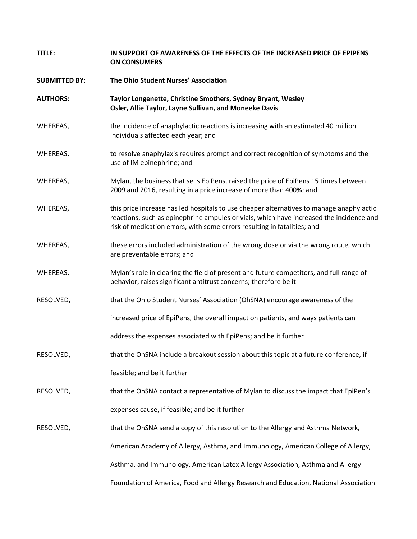| TITLE:               | IN SUPPORT OF AWARENESS OF THE EFFECTS OF THE INCREASED PRICE OF EPIPENS<br><b>ON CONSUMERS</b>                                                                                                                                                                 |
|----------------------|-----------------------------------------------------------------------------------------------------------------------------------------------------------------------------------------------------------------------------------------------------------------|
| <b>SUBMITTED BY:</b> | The Ohio Student Nurses' Association                                                                                                                                                                                                                            |
| <b>AUTHORS:</b>      | Taylor Longenette, Christine Smothers, Sydney Bryant, Wesley<br>Osler, Allie Taylor, Layne Sullivan, and Moneeke Davis                                                                                                                                          |
| WHEREAS,             | the incidence of anaphylactic reactions is increasing with an estimated 40 million<br>individuals affected each year; and                                                                                                                                       |
| WHEREAS,             | to resolve anaphylaxis requires prompt and correct recognition of symptoms and the<br>use of IM epinephrine; and                                                                                                                                                |
| WHEREAS,             | Mylan, the business that sells EpiPens, raised the price of EpiPens 15 times between<br>2009 and 2016, resulting in a price increase of more than 400%; and                                                                                                     |
| WHEREAS,             | this price increase has led hospitals to use cheaper alternatives to manage anaphylactic<br>reactions, such as epinephrine ampules or vials, which have increased the incidence and<br>risk of medication errors, with some errors resulting in fatalities; and |
| WHEREAS,             | these errors included administration of the wrong dose or via the wrong route, which<br>are preventable errors; and                                                                                                                                             |
| WHEREAS,             | Mylan's role in clearing the field of present and future competitors, and full range of<br>behavior, raises significant antitrust concerns; therefore be it                                                                                                     |
| RESOLVED,            | that the Ohio Student Nurses' Association (OhSNA) encourage awareness of the                                                                                                                                                                                    |
|                      | increased price of EpiPens, the overall impact on patients, and ways patients can                                                                                                                                                                               |
|                      | address the expenses associated with EpiPens; and be it further                                                                                                                                                                                                 |
| RESOLVED,            | that the OhSNA include a breakout session about this topic at a future conference, if                                                                                                                                                                           |
|                      | feasible; and be it further                                                                                                                                                                                                                                     |
| RESOLVED,            | that the OhSNA contact a representative of Mylan to discuss the impact that EpiPen's                                                                                                                                                                            |
|                      | expenses cause, if feasible; and be it further                                                                                                                                                                                                                  |
| RESOLVED,            | that the OhSNA send a copy of this resolution to the Allergy and Asthma Network,                                                                                                                                                                                |
|                      | American Academy of Allergy, Asthma, and Immunology, American College of Allergy,                                                                                                                                                                               |
|                      | Asthma, and Immunology, American Latex Allergy Association, Asthma and Allergy                                                                                                                                                                                  |
|                      | Foundation of America, Food and Allergy Research and Education, National Association                                                                                                                                                                            |